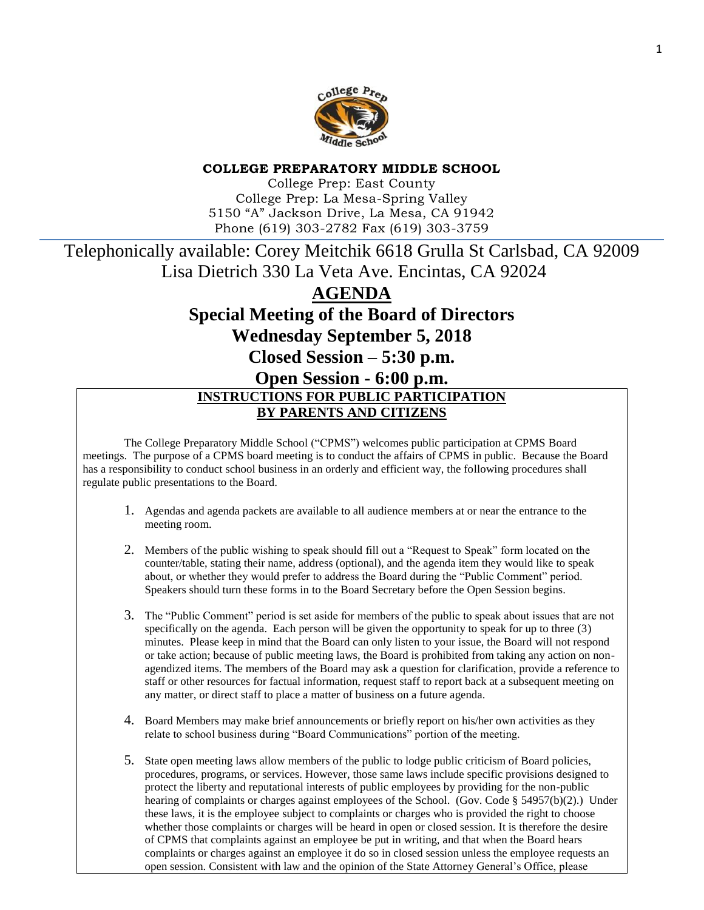

#### **COLLEGE PREPARATORY MIDDLE SCHOOL**

College Prep: East County College Prep: La Mesa-Spring Valley 5150 "A" Jackson Drive, La Mesa, CA 91942 Phone (619) 303-2782 Fax (619) 303-3759

# Telephonically available: Corey Meitchik 6618 Grulla St Carlsbad, CA 92009 Lisa Dietrich 330 La Veta Ave. Encintas, CA 92024

**AGENDA Special Meeting of the Board of Directors Wednesday September 5, 2018 Closed Session – 5:30 p.m.**

# **Open Session - 6:00 p.m. INSTRUCTIONS FOR PUBLIC PARTICIPATION BY PARENTS AND CITIZENS**

The College Preparatory Middle School ("CPMS") welcomes public participation at CPMS Board meetings. The purpose of a CPMS board meeting is to conduct the affairs of CPMS in public. Because the Board has a responsibility to conduct school business in an orderly and efficient way, the following procedures shall regulate public presentations to the Board.

- 1. Agendas and agenda packets are available to all audience members at or near the entrance to the meeting room.
- 2. Members of the public wishing to speak should fill out a "Request to Speak" form located on the counter/table, stating their name, address (optional), and the agenda item they would like to speak about, or whether they would prefer to address the Board during the "Public Comment" period. Speakers should turn these forms in to the Board Secretary before the Open Session begins.
- 3. The "Public Comment" period is set aside for members of the public to speak about issues that are not specifically on the agenda. Each person will be given the opportunity to speak for up to three (3) minutes. Please keep in mind that the Board can only listen to your issue, the Board will not respond or take action; because of public meeting laws, the Board is prohibited from taking any action on nonagendized items. The members of the Board may ask a question for clarification, provide a reference to staff or other resources for factual information, request staff to report back at a subsequent meeting on any matter, or direct staff to place a matter of business on a future agenda.
- 4. Board Members may make brief announcements or briefly report on his/her own activities as they relate to school business during "Board Communications" portion of the meeting.
- 5. State open meeting laws allow members of the public to lodge public criticism of Board policies, procedures, programs, or services. However, those same laws include specific provisions designed to protect the liberty and reputational interests of public employees by providing for the non-public hearing of complaints or charges against employees of the School. (Gov. Code § 54957(b)(2).) Under these laws, it is the employee subject to complaints or charges who is provided the right to choose whether those complaints or charges will be heard in open or closed session. It is therefore the desire of CPMS that complaints against an employee be put in writing, and that when the Board hears complaints or charges against an employee it do so in closed session unless the employee requests an open session. Consistent with law and the opinion of the State Attorney General's Office, please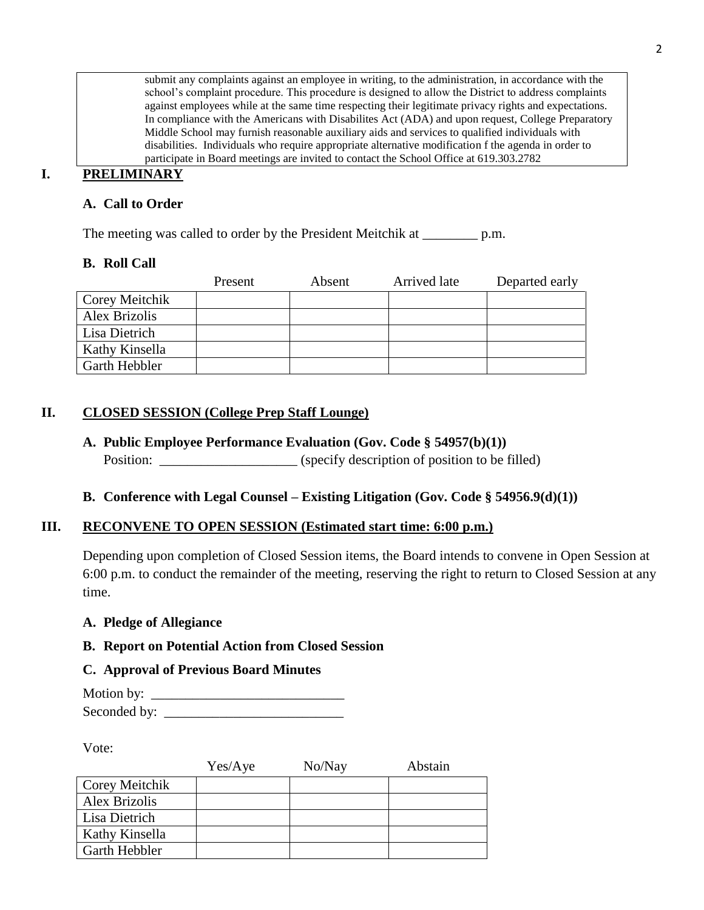submit any complaints against an employee in writing, to the administration, in accordance with the school's complaint procedure. This procedure is designed to allow the District to address complaints against employees while at the same time respecting their legitimate privacy rights and expectations. In compliance with the Americans with Disabilites Act (ADA) and upon request, College Preparatory Middle School may furnish reasonable auxiliary aids and services to qualified individuals with disabilities. Individuals who require appropriate alternative modification f the agenda in order to participate in Board meetings are invited to contact the School Office at 619.303.2782

# **I. PRELIMINARY**

# **A. Call to Order**

The meeting was called to order by the President Meitchik at \_\_\_\_\_\_\_\_\_\_ p.m.

### **B. Roll Call**

|                      | Present | Absent | Arrived late | Departed early |
|----------------------|---------|--------|--------------|----------------|
| Corey Meitchik       |         |        |              |                |
| Alex Brizolis        |         |        |              |                |
| Lisa Dietrich        |         |        |              |                |
| Kathy Kinsella       |         |        |              |                |
| <b>Garth Hebbler</b> |         |        |              |                |

# **II. CLOSED SESSION (College Prep Staff Lounge)**

**A. Public Employee Performance Evaluation (Gov. Code § 54957(b)(1))** Position: \_\_\_\_\_\_\_\_\_\_\_\_\_\_\_\_\_\_\_\_\_\_\_\_ (specify description of position to be filled)

# **B. Conference with Legal Counsel – Existing Litigation (Gov. Code § 54956.9(d)(1))**

# **III. RECONVENE TO OPEN SESSION (Estimated start time: 6:00 p.m.)**

Depending upon completion of Closed Session items, the Board intends to convene in Open Session at 6:00 p.m. to conduct the remainder of the meeting, reserving the right to return to Closed Session at any time.

# **A. Pledge of Allegiance**

# **B. Report on Potential Action from Closed Session**

# **C. Approval of Previous Board Minutes**

Motion by: Seconded by: \_\_\_\_\_\_\_\_\_\_\_\_\_\_\_\_\_\_\_\_\_\_\_\_\_\_

Vote:

|                | Yes/Aye | No/Nay | Abstain |
|----------------|---------|--------|---------|
| Corey Meitchik |         |        |         |
| Alex Brizolis  |         |        |         |
| Lisa Dietrich  |         |        |         |
| Kathy Kinsella |         |        |         |
| Garth Hebbler  |         |        |         |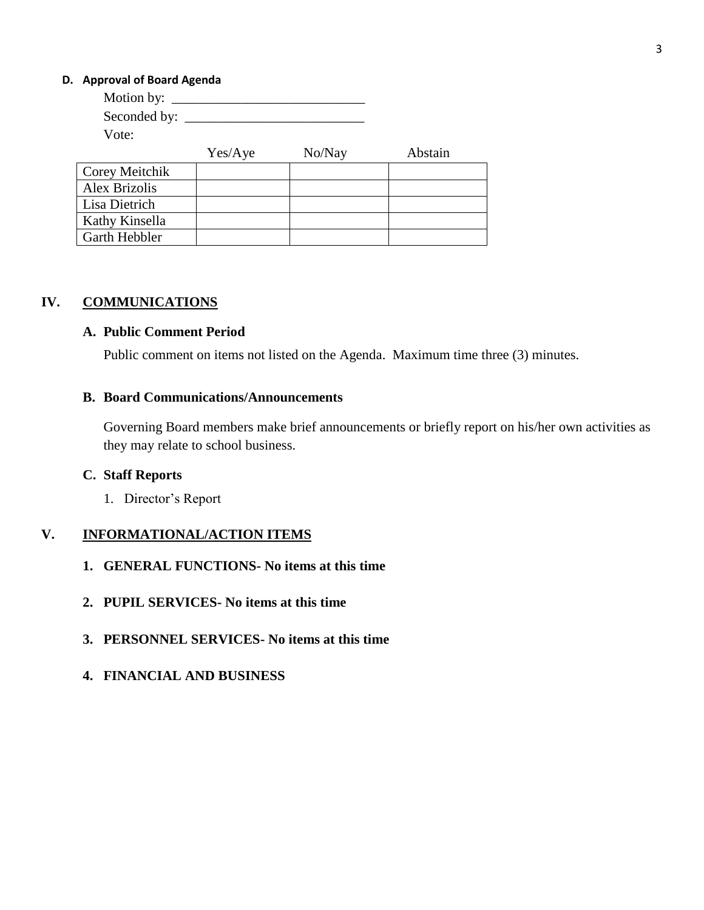#### **D. Approval of Board Agenda**

| Motion by:           |         |        |         |
|----------------------|---------|--------|---------|
| Vote:                |         |        |         |
|                      | Yes/Aye | No/Nay | Abstain |
| Corey Meitchik       |         |        |         |
| <b>Alex Brizolis</b> |         |        |         |
| Lisa Dietrich        |         |        |         |
| Kathy Kinsella       |         |        |         |
| Garth Hebbler        |         |        |         |

# **IV. COMMUNICATIONS**

#### **A. Public Comment Period**

Public comment on items not listed on the Agenda. Maximum time three (3) minutes.

#### **B. Board Communications/Announcements**

Governing Board members make brief announcements or briefly report on his/her own activities as they may relate to school business.

#### **C. Staff Reports**

1. Director's Report

#### **V. INFORMATIONAL/ACTION ITEMS**

- **1. GENERAL FUNCTIONS- No items at this time**
- **2. PUPIL SERVICES- No items at this time**
- **3. PERSONNEL SERVICES- No items at this time**
- **4. FINANCIAL AND BUSINESS**